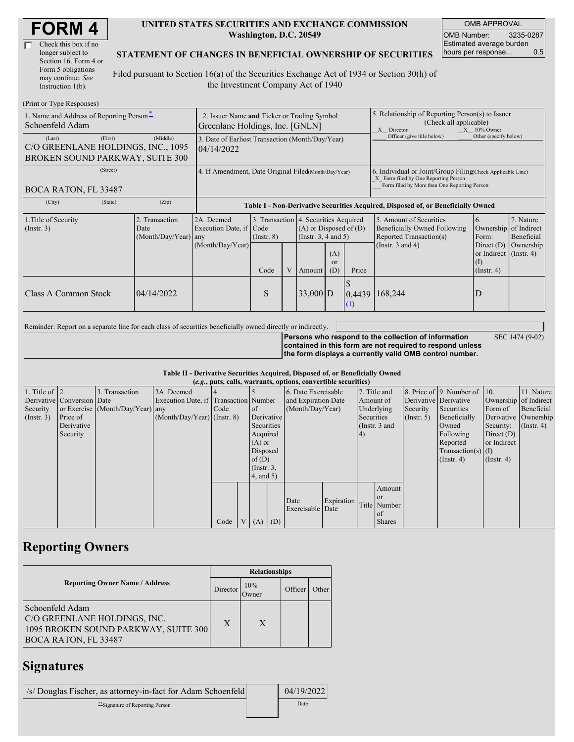| <b>FORM4</b> |
|--------------|
|--------------|

| Check this box if no  |
|-----------------------|
| longer subject to     |
| Section 16. Form 4 or |
| Form 5 obligations    |
| may continue. See     |
| Instruction 1(b).     |

#### **UNITED STATES SECURITIES AND EXCHANGE COMMISSION Washington, D.C. 20549**

OMB APPROVAL OMB Number: 3235-0287 Estimated average burden hours per response... 0.5

#### **STATEMENT OF CHANGES IN BENEFICIAL OWNERSHIP OF SECURITIES**

Filed pursuant to Section 16(a) of the Securities Exchange Act of 1934 or Section 30(h) of the Investment Company Act of 1940

| (Print or Type Responses)                                                                  |                                                                                |                                                                                  |                 |   |                                                                                            |                        |                                                                                                                                                    |                                                                                                             |                                                               |  |
|--------------------------------------------------------------------------------------------|--------------------------------------------------------------------------------|----------------------------------------------------------------------------------|-----------------|---|--------------------------------------------------------------------------------------------|------------------------|----------------------------------------------------------------------------------------------------------------------------------------------------|-------------------------------------------------------------------------------------------------------------|---------------------------------------------------------------|--|
| 1. Name and Address of Reporting Person-<br>Schoenfeld Adam                                | 2. Issuer Name and Ticker or Trading Symbol<br>Greenlane Holdings, Inc. [GNLN] |                                                                                  |                 |   |                                                                                            |                        | 5. Relationship of Reporting Person(s) to Issuer<br>(Check all applicable)<br>$X = 10\%$ Owner<br>X Director                                       |                                                                                                             |                                                               |  |
| (First)<br>(Last)<br>C/O GREENLANE HOLDINGS, INC., 1095<br>BROKEN SOUND PARKWAY, SUITE 300 | (Middle)                                                                       | 3. Date of Earliest Transaction (Month/Day/Year)<br>04/14/2022                   |                 |   |                                                                                            |                        |                                                                                                                                                    | Officer (give title below)                                                                                  | Other (specify below)                                         |  |
| (Street)<br>BOCA RATON, FL 33487                                                           | 4. If Amendment, Date Original Filed(Month/Day/Year)                           |                                                                                  |                 |   |                                                                                            |                        | 6. Individual or Joint/Group Filing Check Applicable Line)<br>X Form filed by One Reporting Person<br>Form filed by More than One Reporting Person |                                                                                                             |                                                               |  |
| (City)<br>(State)                                                                          | (Zip)                                                                          | Table I - Non-Derivative Securities Acquired, Disposed of, or Beneficially Owned |                 |   |                                                                                            |                        |                                                                                                                                                    |                                                                                                             |                                                               |  |
| 1. Title of Security<br>(Insert. 3)                                                        | 2. Transaction<br>Date<br>(Month/Day/Year) any                                 | 2A. Deemed<br>Execution Date, if Code<br>(Month/Day/Year)                        | $($ Instr. $8)$ |   | 3. Transaction 4. Securities Acquired<br>$(A)$ or Disposed of $(D)$<br>(Instr. 3, 4 and 5) |                        |                                                                                                                                                    | 5. Amount of Securities<br>Beneficially Owned Following<br>Reported Transaction(s)<br>(Instr. $3$ and $4$ ) | 7. Nature<br>Ownership of Indirect<br>Beneficial<br>Ownership |  |
|                                                                                            |                                                                                |                                                                                  | Code            | V | Amount                                                                                     | (A)<br>$\alpha$<br>(D) | Price                                                                                                                                              |                                                                                                             | or Indirect $($ Instr. 4 $)$<br>(1)<br>$($ Instr. 4 $)$       |  |
| <b>Class A Common Stock</b>                                                                | 04/14/2022                                                                     |                                                                                  | S               |   | $33,000$ D                                                                                 |                        | Φ<br>0.4439<br>$\Omega$                                                                                                                            | 168,244                                                                                                     | D                                                             |  |

Reminder: Report on a separate line for each class of securities beneficially owned directly or indirectly.

**Persons who respond to the collection of information contained in this form are not required to respond unless the form displays a currently valid OMB control number.** SEC 1474 (9-02)

#### **Table II - Derivative Securities Acquired, Disposed of, or Beneficially Owned (***e.g.***, puts, calls, warrants, options, convertible securities)**

| $(0.5, 0.005, 0.005, 0.0005, 0.00005, 0.0000, 0.0000, 0.0000, 0.0000, 0.0000, 0.0000, 0.0000, 0.0000, 0.0000, 0.0000, 0.0000, 0.0000, 0.0000, 0.0000, 0.0000, 0.0000, 0.0000, 0.0000, 0.0000, 0.0000, 0.0000, 0.0000, 0.0000,$ |                            |                                  |                                       |        |  |                     |            |                     |            |                       |               |                       |                              |                      |               |
|--------------------------------------------------------------------------------------------------------------------------------------------------------------------------------------------------------------------------------|----------------------------|----------------------------------|---------------------------------------|--------|--|---------------------|------------|---------------------|------------|-----------------------|---------------|-----------------------|------------------------------|----------------------|---------------|
| 1. Title of $\vert$ 2.                                                                                                                                                                                                         |                            | 3. Transaction                   | 3A. Deemed                            |        |  |                     |            | 6. Date Exercisable |            |                       | 7. Title and  |                       | 8. Price of 9. Number of 10. |                      | 11. Nature    |
|                                                                                                                                                                                                                                | Derivative Conversion Date |                                  | Execution Date, if Transaction Number |        |  | and Expiration Date |            |                     | Amount of  | Derivative Derivative |               | Ownership of Indirect |                              |                      |               |
| Security                                                                                                                                                                                                                       |                            | or Exercise (Month/Day/Year) any |                                       | I Code |  | <sub>of</sub>       |            | (Month/Day/Year)    |            |                       | Underlying    | Security              | Securities                   | Form of              | Beneficial    |
| (Insert. 3)                                                                                                                                                                                                                    | Price of                   |                                  | $(Month/Day/Year)$ (Instr. 8)         |        |  |                     | Derivative |                     | Securities |                       | (Insert, 5)   | Beneficially          |                              | Derivative Ownership |               |
|                                                                                                                                                                                                                                | Derivative                 |                                  |                                       |        |  | Securities          |            |                     |            |                       | (Instr. 3 and |                       | Owned                        | Security:            | $($ Instr. 4) |
|                                                                                                                                                                                                                                | Security                   |                                  |                                       |        |  | Acquired            |            |                     |            | 4)                    |               |                       | Following                    | Direct $(D)$         |               |
|                                                                                                                                                                                                                                |                            |                                  |                                       |        |  | $(A)$ or            |            |                     |            |                       |               |                       | Reported                     | or Indirect          |               |
|                                                                                                                                                                                                                                |                            |                                  |                                       |        |  | Disposed            |            |                     |            |                       |               |                       | Transaction(s) $(I)$         |                      |               |
|                                                                                                                                                                                                                                |                            |                                  |                                       |        |  |                     | of $(D)$   |                     |            |                       |               | $($ Instr. 4 $)$      | $($ Instr. 4 $)$             |                      |               |
|                                                                                                                                                                                                                                |                            |                                  |                                       |        |  | $($ Instr. $3,$     |            |                     |            |                       |               |                       |                              |                      |               |
|                                                                                                                                                                                                                                |                            |                                  |                                       |        |  | (4, and 5)          |            |                     |            |                       |               |                       |                              |                      |               |
|                                                                                                                                                                                                                                |                            |                                  |                                       |        |  |                     |            |                     |            |                       | Amount        |                       |                              |                      |               |
|                                                                                                                                                                                                                                |                            |                                  |                                       |        |  |                     |            | Date                | Expiration |                       | <b>or</b>     |                       |                              |                      |               |
|                                                                                                                                                                                                                                |                            |                                  |                                       |        |  |                     |            | Exercisable Date    |            |                       | Title Number  |                       |                              |                      |               |
|                                                                                                                                                                                                                                |                            |                                  |                                       |        |  |                     |            |                     |            |                       | of            |                       |                              |                      |               |
|                                                                                                                                                                                                                                |                            |                                  |                                       | Code   |  | $V(A)$ (D)          |            |                     |            |                       | <b>Shares</b> |                       |                              |                      |               |

# **Reporting Owners**

|                                                                                                                        | <b>Relationships</b> |              |         |       |  |  |  |
|------------------------------------------------------------------------------------------------------------------------|----------------------|--------------|---------|-------|--|--|--|
| <b>Reporting Owner Name / Address</b>                                                                                  | Director             | 10%<br>Owner | Officer | Other |  |  |  |
| Schoenfeld Adam<br>C/O GREENLANE HOLDINGS, INC.<br>1095 BROKEN SOUND PARKWAY, SUITE 300<br><b>BOCA RATON, FL 33487</b> | X                    | X            |         |       |  |  |  |

### **Signatures**

| /s/ Douglas Fischer, as attorney-in-fact for Adam Schoenfeld | 04/19/2022 |
|--------------------------------------------------------------|------------|
| **Signature of Reporting Person                              | Date       |